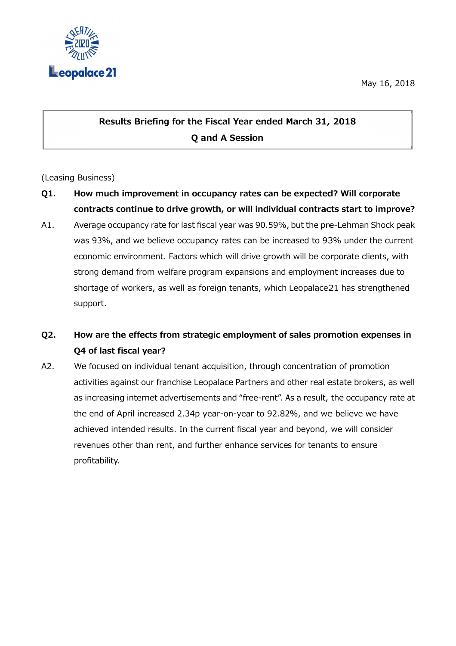

## May 16, 2018<br>sults Briefing for the Fiscal Year ended March 31, 2018 Q and A Session

## (Leasing B Business)

- Q1. How much improvement in occupancy rates can be expected? Will corporate How much improvement in occupancy rates can be expected? Will corporate<br>contracts continue to drive growth, or will individual contracts start to improve?
- A1. Average occupancy rate for last fiscal year was 90.59%, but the pre-Lehman Shock peak Average occupancy rate for last fiscal year was 90.59%, but the pre-Lehman Shock peak<br>was 93%, and we believe occupancy rates can be increased to 93% under the current<br>economic environment. Factors which will drive growth economic environment. Factors which will drive growth will be corporate clients, with strong demand from welfare program expansions and employment increases due to strong demand from welfare program expansions and employment increases due to<br>shortage of workers, as well as foreign tenants, which Leopalace21 has strengthened support. support. Average occupancy rate for last fiscal year was 90.59%, but the pre-Lehm<br>was 93%, and we believe occupancy rates can be increased to 93% unc<br>economic environment. Factors which will drive growth will be corporate<br>strong de **Q and A Session**<br> **Q and A Session**<br> **C** and **A Session**<br> **Exercise of an and further current and further and fust fiscal year was 90.59%, but the pre-Lehn<br>
occupancy rates can be increased to 93% une<br>
ctors which will dr** 93%, and we believe occupancy rates can be increased to 93% under the current<br>omic environment. Factors which will drive growth will be corporate clients, with<br>ig demand from welfare program expansions and employment incre Briefing for the Fiscal Year ended March 31, 2018<br>Q and A Session<br>Q and A Session<br>Space 2018 2018<br>Thinue to drive growth, or will individual contracts stancy rate for last fiscal year was 90.59%, but the pre-Lehn<br>we believ and A Session<br>
cupancy rates can<br>
bowth, or will indivie<br>
iscal year was 90.59<br>
ancy rates can be in<br>
which will drive grov<br>
gram expansions ar<br>
oreign tenants, whic<br>
tegic employment<br>
acquisition, through<br>
eopalace Partne May 16,<br>
May 16,<br>
Lechellend of the Santan Contracts start to impredict<br>
sed to 93% under the curvill be corporate clients, v<br>
strengthe or promotion expense<br>
strengthe or all as strengthe<br>
strengthe or all estate brokers,

## Q2. Q4 of last fiscal year? ow are the effects from strategic employment of sales promotion expenses in

A2. We focused on individual tenant acquisition, through concentration of promotion activities against our franchise Leopalace Partners and other real estate brokers, as well We focused on individual tenant acquisition, through concentration of promotion<br>activities against our franchise Leopalace Partners and other real estate brokers, as well<br>as increasing internet advertisements and "free-ren the end of April increased 2.34p year-on-year to 92.82%, and we believe we have achieved intended results. In the current fiscal year and beyond, we will consider achieved intended results. In the current fiscal year and beyond, we will consi<br>revenues other than rent, and further enhance services for tenants to ensure profitability. We focused on individual tenant acquisition, through concentration of promotion<br>activities against our franchise Leopalace Partners and other real estate brokers, as<br>as increasing internet advertisements and "free-rent". A **Results Briefing for the Fiscal Year ended March 31, 2018**<br>**Q and A Session**<br>**Q and A Session**<br>Business)<br>How much improvement in occupancy rates can be expected? Will<br>contracts continue to drive growth, or will individua reased 2.34p year-on-year to 92.82%, and we believe we have<br>results. In the current fiscal year and beyond, we will consider<br>n rent, and further enhance services for tenants to ensure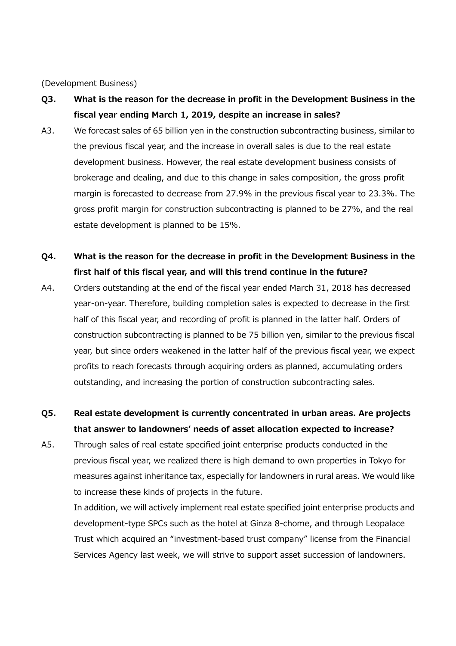(Development Business)

- Q3. What is the reason for the decrease in profit in the Development Business in the fiscal year ending March 1, 2019, despite an increase in sales?
- A3. We forecast sales of 65 billion yen in the construction subcontracting business, similar to the previous fiscal year, and the increase in overall sales is due to the real estate development business. However, the real estate development business consists of brokerage and dealing, and due to this change in sales composition, the gross profit margin is forecasted to decrease from 27.9% in the previous fiscal year to 23.3%. The gross profit margin for construction subcontracting is planned to be 27%, and the real estate development is planned to be 15%.
- Q4. What is the reason for the decrease in profit in the Development Business in the first half of this fiscal year, and will this trend continue in the future?
- A4. Orders outstanding at the end of the fiscal year ended March 31, 2018 has decreased year-on-year. Therefore, building completion sales is expected to decrease in the first half of this fiscal year, and recording of profit is planned in the latter half. Orders of construction subcontracting is planned to be 75 billion yen, similar to the previous fiscal year, but since orders weakened in the latter half of the previous fiscal year, we expect profits to reach forecasts through acquiring orders as planned, accumulating orders outstanding, and increasing the portion of construction subcontracting sales.
- Q5. Real estate development is currently concentrated in urban areas. Are projects that answer to landowners' needs of asset allocation expected to increase?
- A5. Through sales of real estate specified joint enterprise products conducted in the previous fiscal year, we realized there is high demand to own properties in Tokyo for measures against inheritance tax, especially for landowners in rural areas. We would like to increase these kinds of projects in the future.

In addition, we will actively implement real estate specified joint enterprise products and development-type SPCs such as the hotel at Ginza 8-chome, and through Leopalace Trust which acquired an "investment-based trust company" license from the Financial Services Agency last week, we will strive to support asset succession of landowners.